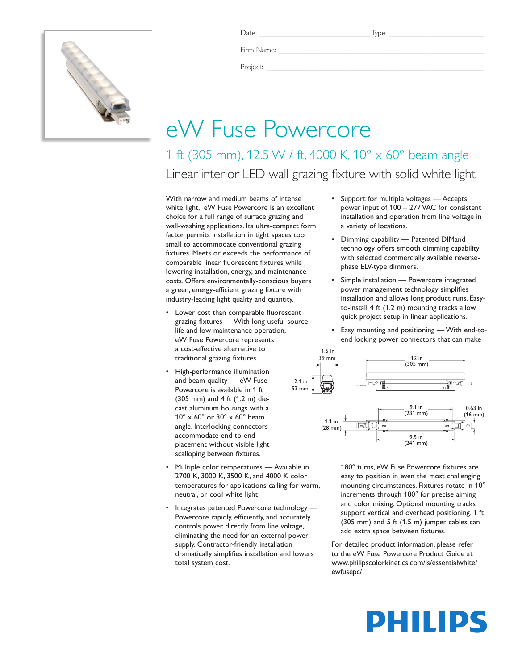

Firm Name:

Project: \_\_\_\_\_\_\_\_\_\_\_\_\_\_\_\_\_\_\_\_\_\_\_\_\_\_\_\_\_\_\_\_\_\_\_\_\_\_\_\_\_\_\_\_\_\_\_\_\_\_\_\_\_\_\_\_\_

## eW Fuse Powercore

1 ft (305 mm), 12.5 W / ft, 4000 K, 10° x 60° beam angle Linear interior LED wall grazing fixture with solid white light

With narrow and medium beams of intense white light, eW Fuse Powercore is an excellent choice for a full range of surface grazing and wall-washing applications. Its ultra-compact form factor permits installation in tight spaces too small to accommodate conventional grazing fixtures. Meets or exceeds the performance of comparable linear fluorescent fixtures while lowering installation, energy, and maintenance costs. Offers environmentally-conscious buyers a green, energy-efficient grazing fixture with industry-leading light quality and quantity.

- Lower cost than comparable fluorescent grazing fixtures — With long useful source life and low-maintenance operation, eW Fuse Powercore represents a cost-effective alternative to traditional grazing fixtures.
- • High-performance illumination and beam quality — eW Fuse Powercore is available in 1 ft (305 mm) and 4 ft (1.2 m) diecast aluminum housings with a 10º x 60º or 30º x 60º beam angle. Interlocking connectors accommodate end-to-end placement without visible light scalloping between fixtures.
- Multiple color temperatures Available in 2700 K, 3000 K, 3500 K, and 4000 K color temperatures for applications calling for warm, neutral, or cool white light
- Integrates patented Powercore technology Powercore rapidly, efficiently, and accurately controls power directly from line voltage, eliminating the need for an external power supply. Contractor-friendly installation dramatically simplifies installation and lowers total system cost.
- • Support for multiple voltages Accepts power input of 100 – 277 VAC for consistent installation and operation from line voltage in a variety of locations.
- • Dimming capability Patented DIMand technology offers smooth dimming capability with selected commercially available reversephase ELV-type dimmers.
- Simple installation Powercore integrated power management technology simplifies installation and allows long product runs. Easyto-install 4 ft (1.2 m) mounting tracks allow quick project setup in linear applications.
- Easy mounting and positioning With end-toend locking power connectors that can make



180º turns, eW Fuse Powercore fixtures are easy to position in even the most challenging mounting circumstances. Fixtures rotate in 10° increments through 180° for precise aiming and color mixing. Optional mounting tracks support vertical and overhead positioning. 1 ft (305 mm) and 5 ft (1.5 m) jumper cables can add extra space between fixtures.

For detailed product information, please refer to the eW Fuse Powercore Product Guide at www.philipscolorkinetics.com/ls/essentialwhite/ ewfusepc/

# PHILIPS